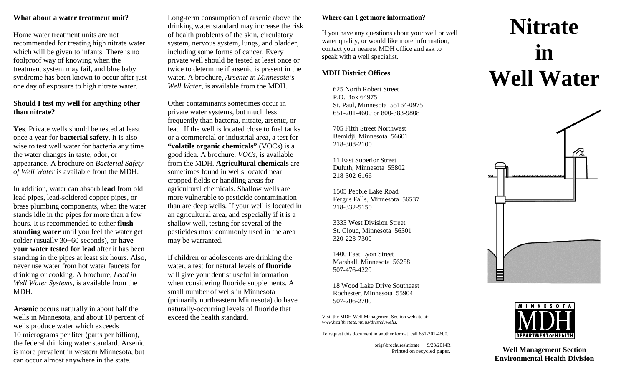#### **What about a water treatment unit?**

Home water treatment units are not recommended for treating high nitrate water which will be given to infants. There is no foolproof way of knowing when the treatment system may fail, and blue baby syndrome has been known to occur after just one day of exposure to high nitrate water.

## **Should I test my well for anything other than nitrate?**

**Yes**. Private wells should be tested at least once a year for **bacterial safety**. It is also wise to test well water for bacteria any time the water changes in taste, odor, or appearance. A brochure on *Bacterial Safety of Well Water* is available from the MDH.

In addition, water can absorb **lead** from old lead pipes, lead-soldered copper pipes, or brass plumbing components, when the water stands idle in the pipes for more than a few hours. It is recommended to either **flush standing water** until you feel the water get colder (usually 30−60 seconds), or **have your water tested for lead** after it has been standing in the pipes at least six hours. Also, never use water from hot water faucets for drinking or cooking. A brochure, *Lead in Well Water Systems,* is available from the MDH.

**Arsenic** occurs naturally in about half the wells in Minnesota, and about 10 percent of wells produce water which exceeds 10 micrograms per liter (parts per billion), the federal drinking water standard. Arsenic is more prevalent in western Minnesota, but can occur almost anywhere in the state.

Long-term consumption of arsenic above the drinking water standard may increase the risk of health problems of the skin, circulatory system, nervous system, lungs, and bladder, including some forms of cancer. Every private well should be tested at least once or twice to determine if arsenic is present in the water. A brochure, *Arsenic in Minnesota's Well Water,* is available from the MDH.

Other contaminants sometimes occur in private water systems, but much less frequently than bacteria, nitrate, arsenic, or lead. If the well is located close to fuel tanks or a commercial or industrial area, a test for **"volatile organic chemicals"** (VOCs) is a good idea. A brochure, *VOCs*, is available from the MDH. **Agricultural chemicals** are sometimes found in wells located near cropped fields or handling areas for agricultural chemicals. Shallow wells are more vulnerable to pesticide contamination than are deep wells. If your well is located in an agricultural area, and especially if it is a shallow well, testing for several of the pesticides most commonly used in the area may be warranted.

If children or adolescents are drinking the water, a test for natural levels of **fluoride** will give your dentist useful information when considering fluoride supplements. A small number of wells in Minnesota (primarily northeastern Minnesota) do have naturally-occurring levels of fluoride that exceed the health standard.

#### **Where can I get more information?**

If you have any questions about your well or well water quality, or would like more information, contact your nearest MDH office and ask to speak with a well specialist.

# **MDH District Offices**

625 North Robert Street P.O. Box 64975 St. Paul, Minnesota 55164-0975 651-201-4600 or 800-383-9808

705 Fifth Street Northwest Bemidii, Minnesota 56601 218-308-2100

11 East Superior Street Duluth, Minnesota 55802 218-302-6166

1505 Pebble Lake Road Fergus Falls, Minnesota 56537 218-332-5150

3333 West Division Street St. Cloud, Minnesota 56301 320-223-7300

1400 East Lyon Street Marshall, Minnesota 56258 507-476-4220

18 Wood Lake Drive Southeast Rochester, Minnesota 55904 507-206-2700

Visit the MDH Well Management Section website at: *[www.health.state.mn.us/divs/eh/wells.](http://www.health.state.mn.us/divs/eh/wells)*

To request this document in another format, call 651-201-4600.

origs\brochures\nitrate 9/23/2014R Printed on recycled paper.

# **Nitrate in Well Water**





**Well Management Section Environmental Health Division**